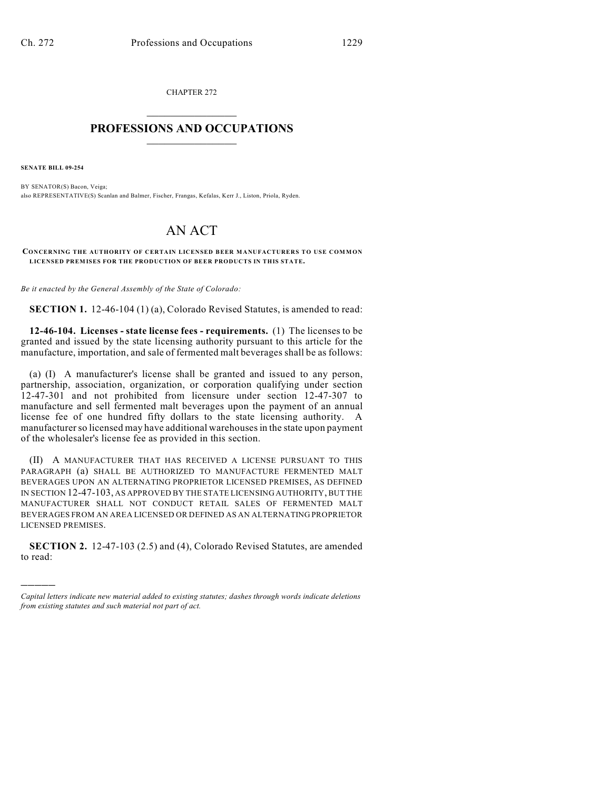CHAPTER 272  $\overline{\phantom{a}}$  . The set of the set of the set of the set of the set of the set of the set of the set of the set of the set of the set of the set of the set of the set of the set of the set of the set of the set of the set o

## **PROFESSIONS AND OCCUPATIONS**  $\frac{1}{2}$  ,  $\frac{1}{2}$  ,  $\frac{1}{2}$  ,  $\frac{1}{2}$  ,  $\frac{1}{2}$  ,  $\frac{1}{2}$

**SENATE BILL 09-254**

)))))

BY SENATOR(S) Bacon, Veiga; also REPRESENTATIVE(S) Scanlan and Balmer, Fischer, Frangas, Kefalas, Kerr J., Liston, Priola, Ryden.

## AN ACT

**CONCERNING THE AUTHORITY OF CERTAIN LICENSED BEER MANUFACTURERS TO USE COMMON LICENSED PREMISES FOR THE PRODUCTION OF BEER PRODUCTS IN THIS STATE.**

*Be it enacted by the General Assembly of the State of Colorado:*

**SECTION 1.** 12-46-104 (1) (a), Colorado Revised Statutes, is amended to read:

**12-46-104. Licenses - state license fees - requirements.** (1) The licenses to be granted and issued by the state licensing authority pursuant to this article for the manufacture, importation, and sale of fermented malt beverages shall be as follows:

(a) (I) A manufacturer's license shall be granted and issued to any person, partnership, association, organization, or corporation qualifying under section 12-47-301 and not prohibited from licensure under section 12-47-307 to manufacture and sell fermented malt beverages upon the payment of an annual license fee of one hundred fifty dollars to the state licensing authority. A manufacturer so licensed may have additional warehouses in the state upon payment of the wholesaler's license fee as provided in this section.

(II) A MANUFACTURER THAT HAS RECEIVED A LICENSE PURSUANT TO THIS PARAGRAPH (a) SHALL BE AUTHORIZED TO MANUFACTURE FERMENTED MALT BEVERAGES UPON AN ALTERNATING PROPRIETOR LICENSED PREMISES, AS DEFINED IN SECTION 12-47-103, AS APPROVED BY THE STATE LICENSING AUTHORITY, BUT THE MANUFACTURER SHALL NOT CONDUCT RETAIL SALES OF FERMENTED MALT BEVERAGES FROM AN AREA LICENSED OR DEFINED AS AN ALTERNATING PROPRIETOR LICENSED PREMISES.

**SECTION 2.** 12-47-103 (2.5) and (4), Colorado Revised Statutes, are amended to read:

*Capital letters indicate new material added to existing statutes; dashes through words indicate deletions from existing statutes and such material not part of act.*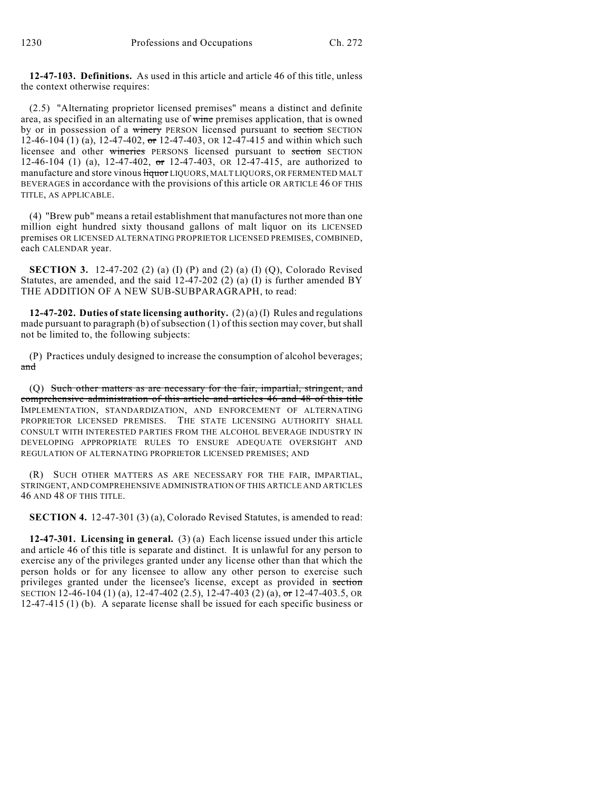**12-47-103. Definitions.** As used in this article and article 46 of this title, unless the context otherwise requires:

(2.5) "Alternating proprietor licensed premises" means a distinct and definite area, as specified in an alternating use of wine premises application, that is owned by or in possession of a winery PERSON licensed pursuant to section SECTION 12-46-104 (1) (a), 12-47-402,  $\sigma$ r 12-47-403, OR 12-47-415 and within which such licensee and other wineries PERSONS licensed pursuant to section SECTION 12-46-104 (1) (a), 12-47-402, or 12-47-403, OR 12-47-415, are authorized to manufacture and store vinous *liquor LIQUORS*, MALT LIQUORS, OR FERMENTED MALT BEVERAGES in accordance with the provisions of this article OR ARTICLE 46 OF THIS TITLE, AS APPLICABLE.

(4) "Brew pub" means a retail establishment that manufactures not more than one million eight hundred sixty thousand gallons of malt liquor on its LICENSED premises OR LICENSED ALTERNATING PROPRIETOR LICENSED PREMISES, COMBINED, each CALENDAR year.

**SECTION 3.** 12-47-202 (2) (a) (I) (P) and (2) (a) (I) (Q), Colorado Revised Statutes, are amended, and the said  $12-47-202$  (2) (a) (I) is further amended BY THE ADDITION OF A NEW SUB-SUBPARAGRAPH, to read:

**12-47-202. Duties of state licensing authority.** (2) (a) (I) Rules and regulations made pursuant to paragraph (b) of subsection (1) of this section may cover, but shall not be limited to, the following subjects:

(P) Practices unduly designed to increase the consumption of alcohol beverages; and

(Q) Such other matters as are necessary for the fair, impartial, stringent, and comprehensive administration of this article and articles 46 and 48 of this title IMPLEMENTATION, STANDARDIZATION, AND ENFORCEMENT OF ALTERNATING PROPRIETOR LICENSED PREMISES. THE STATE LICENSING AUTHORITY SHALL CONSULT WITH INTERESTED PARTIES FROM THE ALCOHOL BEVERAGE INDUSTRY IN DEVELOPING APPROPRIATE RULES TO ENSURE ADEQUATE OVERSIGHT AND REGULATION OF ALTERNATING PROPRIETOR LICENSED PREMISES; AND

(R) SUCH OTHER MATTERS AS ARE NECESSARY FOR THE FAIR, IMPARTIAL, STRINGENT, AND COMPREHENSIVE ADMINISTRATION OF THIS ARTICLE AND ARTICLES 46 AND 48 OF THIS TITLE.

**SECTION 4.** 12-47-301 (3) (a), Colorado Revised Statutes, is amended to read:

**12-47-301. Licensing in general.** (3) (a) Each license issued under this article and article 46 of this title is separate and distinct. It is unlawful for any person to exercise any of the privileges granted under any license other than that which the person holds or for any licensee to allow any other person to exercise such privileges granted under the licensee's license, except as provided in section SECTION 12-46-104 (1) (a), 12-47-402 (2.5), 12-47-403 (2) (a), or 12-47-403.5, OR 12-47-415 (1) (b). A separate license shall be issued for each specific business or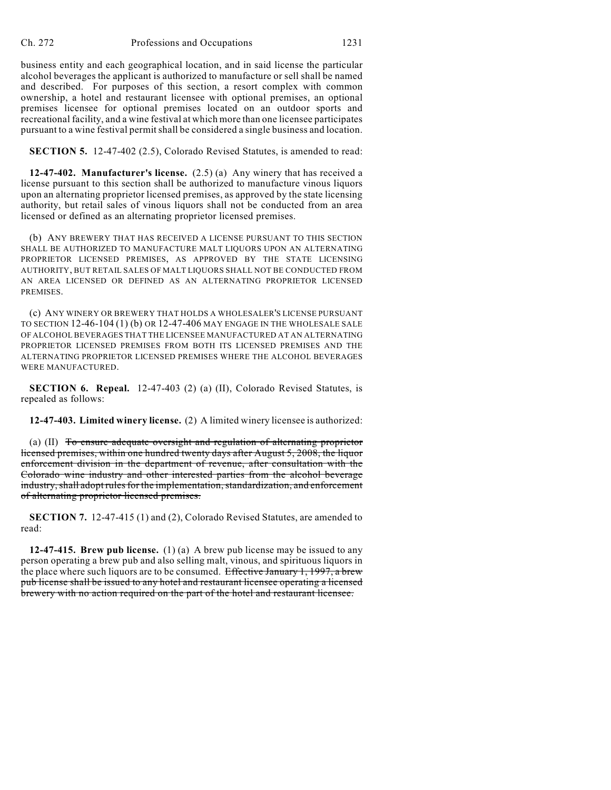business entity and each geographical location, and in said license the particular alcohol beverages the applicant is authorized to manufacture or sell shall be named and described. For purposes of this section, a resort complex with common ownership, a hotel and restaurant licensee with optional premises, an optional premises licensee for optional premises located on an outdoor sports and recreational facility, and a wine festival at which more than one licensee participates pursuant to a wine festival permit shall be considered a single business and location.

**SECTION 5.** 12-47-402 (2.5), Colorado Revised Statutes, is amended to read:

**12-47-402. Manufacturer's license.** (2.5) (a) Any winery that has received a license pursuant to this section shall be authorized to manufacture vinous liquors upon an alternating proprietor licensed premises, as approved by the state licensing authority, but retail sales of vinous liquors shall not be conducted from an area licensed or defined as an alternating proprietor licensed premises.

(b) ANY BREWERY THAT HAS RECEIVED A LICENSE PURSUANT TO THIS SECTION SHALL BE AUTHORIZED TO MANUFACTURE MALT LIQUORS UPON AN ALTERNATING PROPRIETOR LICENSED PREMISES, AS APPROVED BY THE STATE LICENSING AUTHORITY, BUT RETAIL SALES OF MALT LIQUORS SHALL NOT BE CONDUCTED FROM AN AREA LICENSED OR DEFINED AS AN ALTERNATING PROPRIETOR LICENSED PREMISES.

(c) ANY WINERY OR BREWERY THAT HOLDS A WHOLESALER'S LICENSE PURSUANT TO SECTION 12-46-104 (1) (b) OR 12-47-406 MAY ENGAGE IN THE WHOLESALE SALE OF ALCOHOL BEVERAGES THAT THE LICENSEE MANUFACTURED AT AN ALTERNATING PROPRIETOR LICENSED PREMISES FROM BOTH ITS LICENSED PREMISES AND THE ALTERNATING PROPRIETOR LICENSED PREMISES WHERE THE ALCOHOL BEVERAGES WERE MANUFACTURED.

**SECTION 6. Repeal.** 12-47-403 (2) (a) (II), Colorado Revised Statutes, is repealed as follows:

**12-47-403. Limited winery license.** (2) A limited winery licensee is authorized:

(a) (II) To ensure adequate oversight and regulation of alternating proprietor licensed premises, within one hundred twenty days after August 5, 2008, the liquor enforcement division in the department of revenue, after consultation with the Colorado wine industry and other interested parties from the alcohol beverage industry, shall adopt rules for the implementation, standardization, and enforcement of alternating proprietor licensed premises.

**SECTION 7.** 12-47-415 (1) and (2), Colorado Revised Statutes, are amended to read:

**12-47-415. Brew pub license.** (1) (a) A brew pub license may be issued to any person operating a brew pub and also selling malt, vinous, and spirituous liquors in the place where such liquors are to be consumed. Effective January 1, 1997, a brew pub license shall be issued to any hotel and restaurant licensee operating a licensed brewery with no action required on the part of the hotel and restaurant licensee.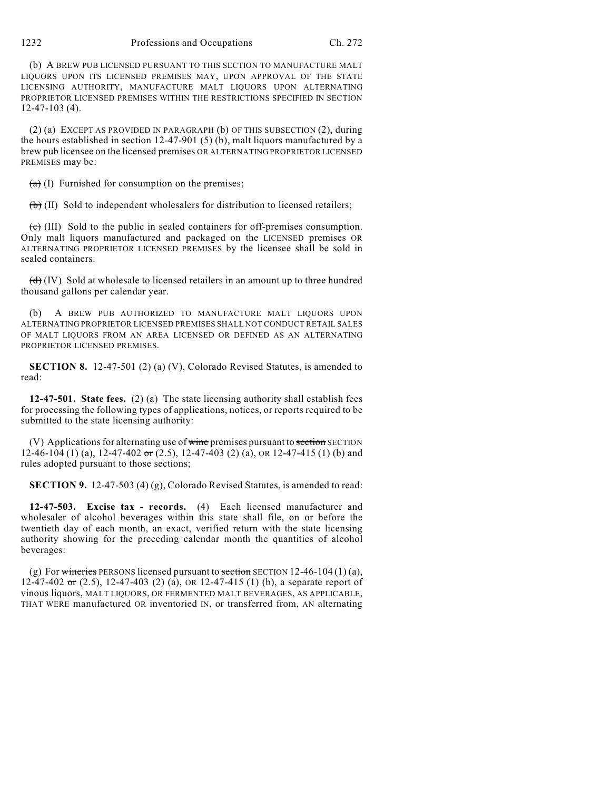(b) A BREW PUB LICENSED PURSUANT TO THIS SECTION TO MANUFACTURE MALT LIQUORS UPON ITS LICENSED PREMISES MAY, UPON APPROVAL OF THE STATE LICENSING AUTHORITY, MANUFACTURE MALT LIQUORS UPON ALTERNATING PROPRIETOR LICENSED PREMISES WITHIN THE RESTRICTIONS SPECIFIED IN SECTION 12-47-103 (4).

(2) (a) EXCEPT AS PROVIDED IN PARAGRAPH (b) OF THIS SUBSECTION (2), during the hours established in section 12-47-901 (5) (b), malt liquors manufactured by a brew pub licensee on the licensed premises OR ALTERNATING PROPRIETOR LICENSED PREMISES may be:

 $(a)$  (I) Furnished for consumption on the premises;

 $(b)$  (II) Sold to independent wholesalers for distribution to licensed retailers;

 $\overrightarrow{c}$  (III) Sold to the public in sealed containers for off-premises consumption. Only malt liquors manufactured and packaged on the LICENSED premises OR ALTERNATING PROPRIETOR LICENSED PREMISES by the licensee shall be sold in sealed containers.

 $(d)$  (IV) Sold at wholesale to licensed retailers in an amount up to three hundred thousand gallons per calendar year.

(b) A BREW PUB AUTHORIZED TO MANUFACTURE MALT LIQUORS UPON ALTERNATING PROPRIETOR LICENSED PREMISES SHALL NOT CONDUCT RETAIL SALES OF MALT LIQUORS FROM AN AREA LICENSED OR DEFINED AS AN ALTERNATING PROPRIETOR LICENSED PREMISES.

**SECTION 8.** 12-47-501 (2) (a) (V), Colorado Revised Statutes, is amended to read:

**12-47-501. State fees.** (2) (a) The state licensing authority shall establish fees for processing the following types of applications, notices, or reports required to be submitted to the state licensing authority:

 $(V)$  Applications for alternating use of wine premises pursuant to section SECTION 12-46-104 (1) (a),  $12-47-402$  or (2.5),  $12-47-403$  (2) (a), OR 12-47-415 (1) (b) and rules adopted pursuant to those sections;

**SECTION 9.** 12-47-503 (4) (g), Colorado Revised Statutes, is amended to read:

**12-47-503. Excise tax - records.** (4) Each licensed manufacturer and wholesaler of alcohol beverages within this state shall file, on or before the twentieth day of each month, an exact, verified return with the state licensing authority showing for the preceding calendar month the quantities of alcohol beverages:

(g) For wineries PERSONS licensed pursuant to section SECTION 12-46-104 (1) (a), 12-47-402  $\sigma$  (2.5), 12-47-403 (2) (a), OR 12-47-415 (1) (b), a separate report of vinous liquors, MALT LIQUORS, OR FERMENTED MALT BEVERAGES, AS APPLICABLE, THAT WERE manufactured OR inventoried IN, or transferred from, AN alternating